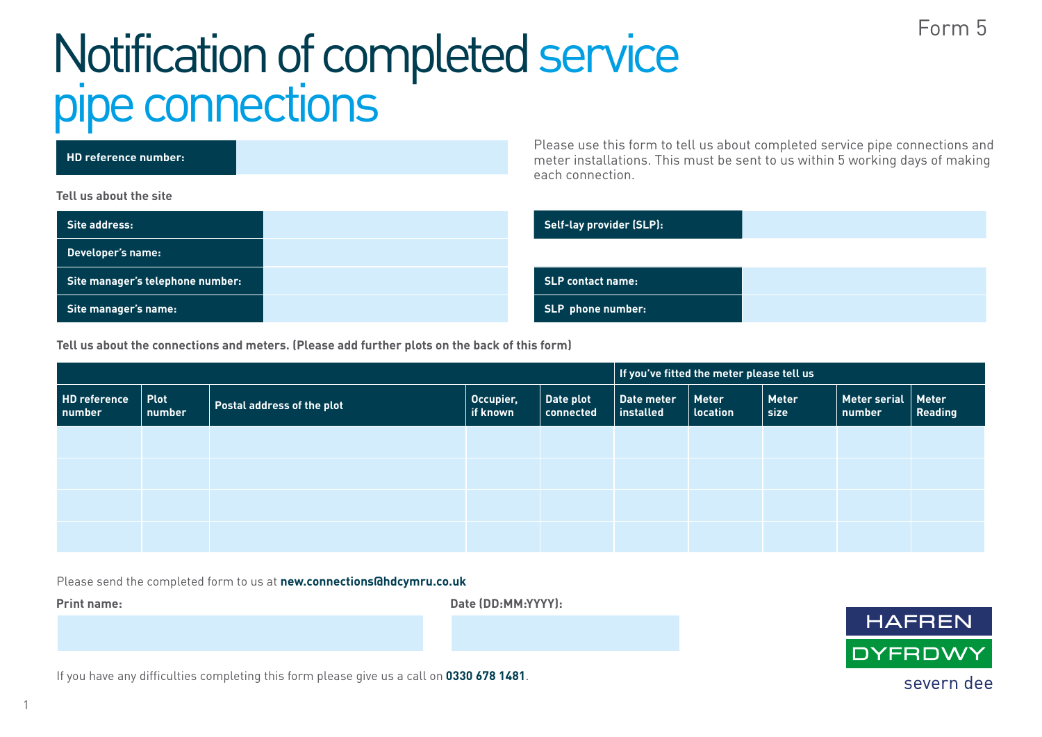## Form 5

## Notification of completed service pipe connections

| HD reference number:             | Please use this form to tell us about completed service pipe connections and<br>meter installations. This must be sent to us within 5 working days of making<br>each connection. |
|----------------------------------|----------------------------------------------------------------------------------------------------------------------------------------------------------------------------------|
| Tell us about the site           |                                                                                                                                                                                  |
| Site address:                    | Self-lay provider (SLP):                                                                                                                                                         |
| Developer's name:                |                                                                                                                                                                                  |
| Site manager's telephone number: | <b>SLP contact name:</b>                                                                                                                                                         |
| Site manager's name:             | <b>SLP</b> phone number:                                                                                                                                                         |

**Tell us about the connections and meters. (Please add further plots on the back of this form)**

|                               |                       |                            |                       | If you've fitted the meter please tell us |                         |                                 |                      |                                  |         |
|-------------------------------|-----------------------|----------------------------|-----------------------|-------------------------------------------|-------------------------|---------------------------------|----------------------|----------------------------------|---------|
| <b>HD reference</b><br>number | <b>Plot</b><br>number | Postal address of the plot | Occupier,<br>if known | Date plot<br>connected                    | Date meter<br>installed | <b>Meter</b><br><b>location</b> | <b>Meter</b><br>size | Meter serial $ $ Meter<br>number | Reading |
|                               |                       |                            |                       |                                           |                         |                                 |                      |                                  |         |
|                               |                       |                            |                       |                                           |                         |                                 |                      |                                  |         |
|                               |                       |                            |                       |                                           |                         |                                 |                      |                                  |         |
|                               |                       |                            |                       |                                           |                         |                                 |                      |                                  |         |

Please send the completed form to us at **new.connections@hdcymru.co.uk**

**Print name: Date (DD:MM:YYYY):**



If you have any difficulties completing this form please give us a call on **0330 678 1481**.